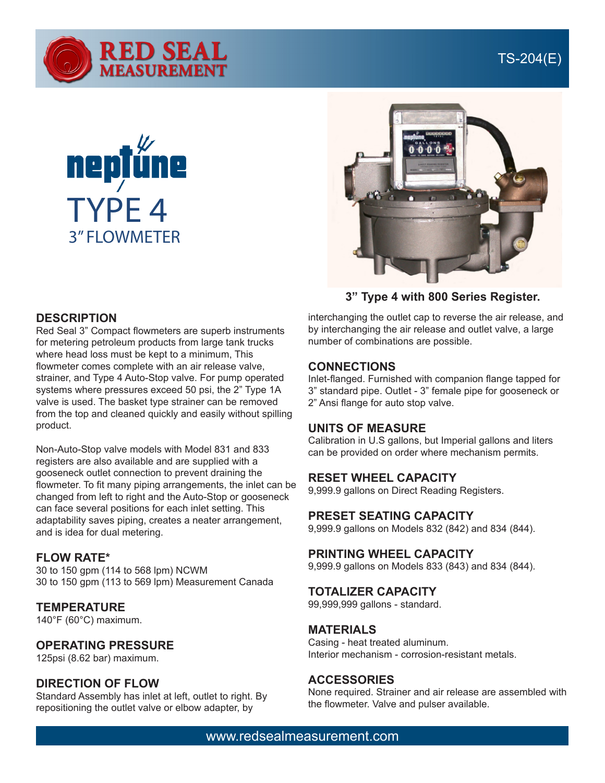





**3" Type 4 with 800 Series Register.**

## **DESCRIPTION**

Red Seal 3" Compact flowmeters are superb instruments for metering petroleum products from large tank trucks where head loss must be kept to a minimum, This flowmeter comes complete with an air release valve, strainer, and Type 4 Auto-Stop valve. For pump operated systems where pressures exceed 50 psi, the 2" Type 1A valve is used. The basket type strainer can be removed from the top and cleaned quickly and easily without spilling product.

Non-Auto-Stop valve models with Model 831 and 833 registers are also available and are supplied with a gooseneck outlet connection to prevent draining the flowmeter. To fit many piping arrangements, the inlet can be changed from left to right and the Auto-Stop or gooseneck can face several positions for each inlet setting. This adaptability saves piping, creates a neater arrangement, and is idea for dual metering.

## **FLOW RATE\***

30 to 150 gpm (114 to 568 lpm) NCWM 30 to 150 gpm (113 to 569 lpm) Measurement Canada

## **TEMPERATURE**

140°F (60°C) maximum.

## **OPERATING PRESSURE**

125psi (8.62 bar) maximum.

## **DIRECTION OF FLOW**

Standard Assembly has inlet at left, outlet to right. By repositioning the outlet valve or elbow adapter, by

interchanging the outlet cap to reverse the air release, and by interchanging the air release and outlet valve, a large number of combinations are possible.

#### **CONNECTIONS**

Inlet-flanged. Furnished with companion flange tapped for 3" standard pipe. Outlet - 3" female pipe for gooseneck or 2" Ansi flange for auto stop valve.

#### **UNITS OF MEASURE**

Calibration in U.S gallons, but Imperial gallons and liters can be provided on order where mechanism permits.

#### **RESET WHEEL CAPACITY**

9,999.9 gallons on Direct Reading Registers.

#### **PRESET SEATING CAPACITY**

9,999.9 gallons on Models 832 (842) and 834 (844).

## **PRINTING WHEEL CAPACITY**

9,999.9 gallons on Models 833 (843) and 834 (844).

#### **TOTALIZER CAPACITY**

99,999,999 gallons - standard.

#### **MATERIALS**

Casing - heat treated aluminum. Interior mechanism - corrosion-resistant metals.

#### **ACCESSORIES**

None required. Strainer and air release are assembled with the flowmeter. Valve and pulser available.

## www.redsealmeasurement.com

## TS-204(E)